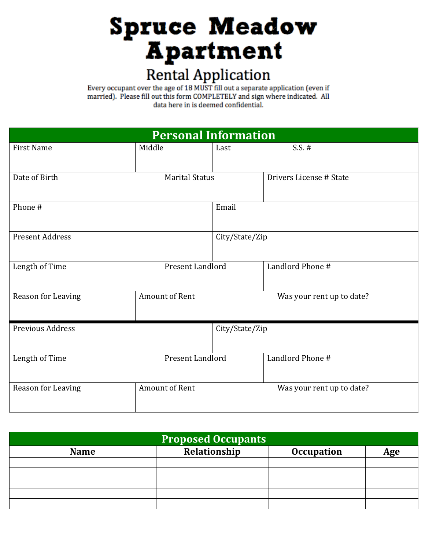## **Spruce Meadow Apartment Rental Application**<br>Every occupant over the age of 18 MUST fill out a separate application (even if

married). Please fill out this form COMPLETELY and sign where indicated. All data here in is deemed confidential.

| <b>Personal Information</b>        |                       |                |                  |                           |
|------------------------------------|-----------------------|----------------|------------------|---------------------------|
| <b>First Name</b>                  | Middle                | Last           |                  | $S.S. \#$                 |
| Date of Birth                      | <b>Marital Status</b> |                |                  | Drivers License # State   |
| Phone #                            |                       | Email          |                  |                           |
| <b>Present Address</b>             |                       | City/State/Zip |                  |                           |
| Present Landlord<br>Length of Time |                       |                | Landlord Phone # |                           |
| Reason for Leaving                 | <b>Amount of Rent</b> |                |                  | Was your rent up to date? |
| <b>Previous Address</b>            |                       |                | City/State/Zip   |                           |
| Length of Time                     | Present Landlord      |                |                  | Landlord Phone #          |
| Reason for Leaving                 | <b>Amount of Rent</b> |                |                  | Was your rent up to date? |

| <b>Proposed Occupants</b> |              |                   |     |  |
|---------------------------|--------------|-------------------|-----|--|
| <b>Name</b>               | Relationship | <b>Occupation</b> | Age |  |
|                           |              |                   |     |  |
|                           |              |                   |     |  |
|                           |              |                   |     |  |
|                           |              |                   |     |  |
|                           |              |                   |     |  |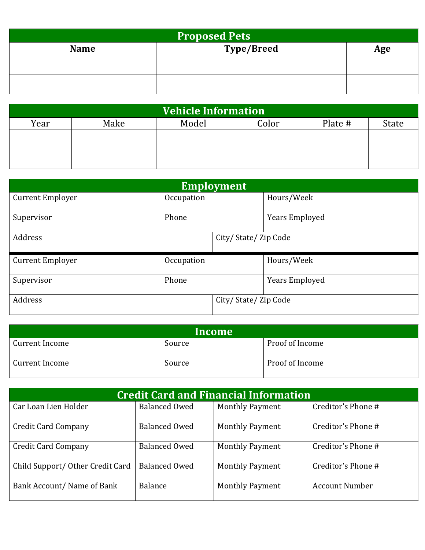| <b>Proposed Pets</b> |                   |     |  |
|----------------------|-------------------|-----|--|
| <b>Name</b>          | <b>Type/Breed</b> | Age |  |
|                      |                   |     |  |
|                      |                   |     |  |
|                      |                   |     |  |
|                      |                   |     |  |

| Vehicle Information |      |       |       |         |       |
|---------------------|------|-------|-------|---------|-------|
| Year                | Make | Model | Color | Plate # | State |
|                     |      |       |       |         |       |
|                     |      |       |       |         |       |
|                     |      |       |       |         |       |
|                     |      |       |       |         |       |

| <b>Employment</b>       |            |                     |                       |
|-------------------------|------------|---------------------|-----------------------|
| <b>Current Employer</b> | Occupation |                     | Hours/Week            |
| Supervisor              | Phone      |                     | <b>Years Employed</b> |
| Address                 |            | City/State/Zip Code |                       |
| <b>Current Employer</b> | Occupation |                     | Hours/Week            |
| Supervisor              | Phone      |                     | <b>Years Employed</b> |
| Address                 |            | City/State/Zip Code |                       |

| Income         |        |                 |
|----------------|--------|-----------------|
| Current Income | Source | Proof of Income |
| Current Income | Source | Proof of Income |

| <b>Credit Card and Financial Information</b> |                      |                        |                       |
|----------------------------------------------|----------------------|------------------------|-----------------------|
| Car Loan Lien Holder                         | Balanced Owed        | <b>Monthly Payment</b> | Creditor's Phone #    |
| <b>Credit Card Company</b>                   | <b>Balanced Owed</b> | <b>Monthly Payment</b> | Creditor's Phone #    |
| <b>Credit Card Company</b>                   | <b>Balanced Owed</b> | <b>Monthly Payment</b> | Creditor's Phone #    |
| Child Support/Other Credit Card              | <b>Balanced Owed</b> | <b>Monthly Payment</b> | Creditor's Phone #    |
| Bank Account/ Name of Bank                   | Balance              | <b>Monthly Payment</b> | <b>Account Number</b> |